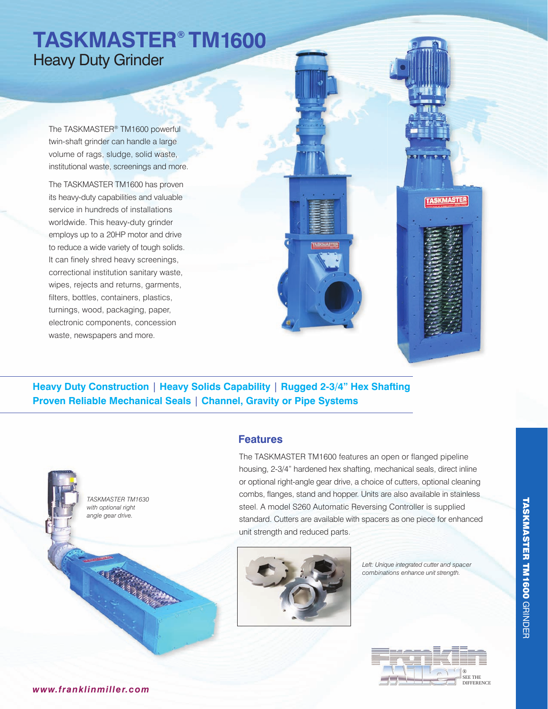# **TASKMASTER® TM1600** Heavy Duty Grinder

The TASKMASTER® TM1600 powerful twin-shaft grinder can handle a large volume of rags, sludge, solid waste, institutional waste, screenings and more.

The TASKMASTER TM1600 has proven its heavy-duty capabilities and valuable service in hundreds of installations worldwide. This heavy-duty grinder employs up to a 20HP motor and drive to reduce a wide variety of tough solids. It can finely shred heavy screenings, correctional institution sanitary waste, wipes, rejects and returns, garments, filters, bottles, containers, plastics, turnings, wood, packaging, paper, electronic components, concession waste, newspapers and more.

**Heavy Duty Construction** | **Heavy Solids Capability** | **Rugged 2-3/4" Hex Shafting Proven Reliable Mechanical Seals** | **Channel, Gravity or Pipe Systems** 



#### **Features**

The TASKMASTER TM1600 features an open or flanged pipeline housing, 2-3/4" hardened hex shafting, mechanical seals, direct inline or optional right-angle gear drive, a choice of cutters, optional cleaning combs, flanges, stand and hopper. Units are also available in stainless steel. A model S260 Automatic Reversing Controller is supplied standard. Cutters are available with spacers as one piece for enhanced unit strength and reduced parts.



*Left: Unique integrated cutter and spacer combinations enhance unit strength.*

**TASKMASTER** 



*www. franklinmiller.com*